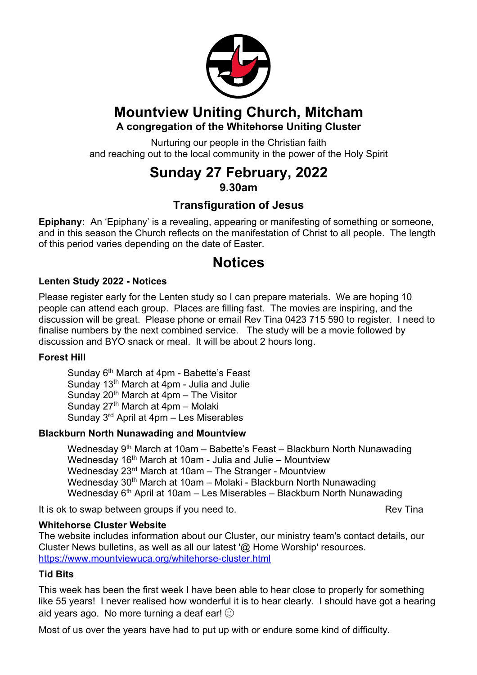

## **Mountview Uniting Church, Mitcham A congregation of the Whitehorse Uniting Cluster**

Nurturing our people in the Christian faith and reaching out to the local community in the power of the Holy Spirit

# **Sunday 27 February, 2022 9.30am**

## **Transfiguration of Jesus**

**Epiphany:** An 'Epiphany' is a revealing, appearing or manifesting of something or someone, and in this season the Church reflects on the manifestation of Christ to all people. The length of this period varies depending on the date of Easter.

# **Notices**

## **Lenten Study 2022 - Notices**

Please register early for the Lenten study so I can prepare materials. We are hoping 10 people can attend each group. Places are filling fast. The movies are inspiring, and the discussion will be great. Please phone or email Rev Tina 0423 715 590 to register. I need to finalise numbers by the next combined service. The study will be a movie followed by discussion and BYO snack or meal. It will be about 2 hours long.

## **Forest Hill**

Sunday 6<sup>th</sup> March at 4pm - Babette's Feast Sunday 13<sup>th</sup> March at 4pm - Julia and Julie Sunday  $20<sup>th</sup>$  March at 4pm – The Visitor Sunday  $27<sup>th</sup>$  March at 4pm – Molaki Sunday 3rd April at 4pm – Les Miserables

## **Blackburn North Nunawading and Mountview**

Wednesday 9<sup>th</sup> March at 10am – Babette's Feast – Blackburn North Nunawading Wednesday 16<sup>th</sup> March at 10am - Julia and Julie – Mountview Wednesday 23rd March at 10am – The Stranger - Mountview Wednesday 30<sup>th</sup> March at 10am – Molaki - Blackburn North Nunawading Wednesday  $6<sup>th</sup>$  April at 10am – Les Miserables – Blackburn North Nunawading

It is ok to swap between groups if you need to. The state of the Rev Tina

## **Whitehorse Cluster Website**

The website includes information about our Cluster, our ministry team's contact details, our Cluster News bulletins, as well as all our latest '@ Home Worship' resources. https://www.mountviewuca.org/whitehorse-cluster.html

## **Tid Bits**

This week has been the first week I have been able to hear close to properly for something like 55 years! I never realised how wonderful it is to hear clearly. I should have got a hearing aid years ago. No more turning a deaf ear!  $\odot$ 

Most of us over the years have had to put up with or endure some kind of difficulty.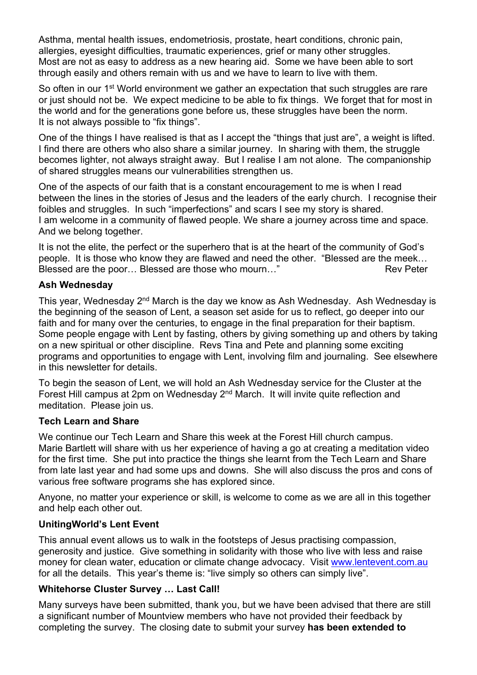Asthma, mental health issues, endometriosis, prostate, heart conditions, chronic pain, allergies, eyesight difficulties, traumatic experiences, grief or many other struggles. Most are not as easy to address as a new hearing aid. Some we have been able to sort through easily and others remain with us and we have to learn to live with them.

So often in our 1<sup>st</sup> World environment we gather an expectation that such struggles are rare or just should not be. We expect medicine to be able to fix things. We forget that for most in the world and for the generations gone before us, these struggles have been the norm. It is not always possible to "fix things".

One of the things I have realised is that as I accept the "things that just are", a weight is lifted. I find there are others who also share a similar journey. In sharing with them, the struggle becomes lighter, not always straight away. But I realise I am not alone. The companionship of shared struggles means our vulnerabilities strengthen us.

One of the aspects of our faith that is a constant encouragement to me is when I read between the lines in the stories of Jesus and the leaders of the early church. I recognise their foibles and struggles. In such "imperfections" and scars I see my story is shared. I am welcome in a community of flawed people. We share a journey across time and space. And we belong together.

It is not the elite, the perfect or the superhero that is at the heart of the community of God's people. It is those who know they are flawed and need the other. "Blessed are the meek… Blessed are the poor... Blessed are those who mourn..." Rev Peter

### **Ash Wednesday**

This year, Wednesday 2<sup>nd</sup> March is the day we know as Ash Wednesday. Ash Wednesday is the beginning of the season of Lent, a season set aside for us to reflect, go deeper into our faith and for many over the centuries, to engage in the final preparation for their baptism. Some people engage with Lent by fasting, others by giving something up and others by taking on a new spiritual or other discipline. Revs Tina and Pete and planning some exciting programs and opportunities to engage with Lent, involving film and journaling. See elsewhere in this newsletter for details.

To begin the season of Lent, we will hold an Ash Wednesday service for the Cluster at the Forest Hill campus at 2pm on Wednesday 2<sup>nd</sup> March. It will invite quite reflection and meditation. Please join us.

#### **Tech Learn and Share**

We continue our Tech Learn and Share this week at the Forest Hill church campus. Marie Bartlett will share with us her experience of having a go at creating a meditation video for the first time. She put into practice the things she learnt from the Tech Learn and Share from late last year and had some ups and downs. She will also discuss the pros and cons of various free software programs she has explored since.

Anyone, no matter your experience or skill, is welcome to come as we are all in this together and help each other out.

#### **UnitingWorld's Lent Event**

This annual event allows us to walk in the footsteps of Jesus practising compassion, generosity and justice. Give something in solidarity with those who live with less and raise money for clean water, education or climate change advocacy. Visit www.lentevent.com.au for all the details. This year's theme is: "live simply so others can simply live".

## **Whitehorse Cluster Survey … Last Call!**

Many surveys have been submitted, thank you, but we have been advised that there are still a significant number of Mountview members who have not provided their feedback by completing the survey. The closing date to submit your survey **has been extended to**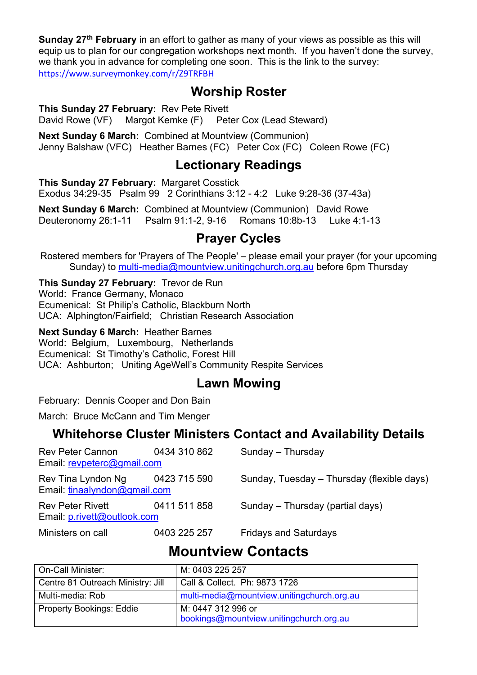**Sunday 27th February** in an effort to gather as many of your views as possible as this will equip us to plan for our congregation workshops next month. If you haven't done the survey, we thank you in advance for completing one soon. This is the link to the survey: https://www.surveymonkey.com/r/Z9TRFBH

# **Worship Roster**

**This Sunday 27 February:** Rev Pete Rivett

David Rowe (VF) Margot Kemke (F) Peter Cox (Lead Steward)

**Next Sunday 6 March:** Combined at Mountview (Communion) Jenny Balshaw (VFC) Heather Barnes (FC) Peter Cox (FC) Coleen Rowe (FC)

# **Lectionary Readings**

**This Sunday 27 February:** Margaret Cosstick Exodus 34:29-35 Psalm 99 2 Corinthians 3:12 - 4:2 Luke 9:28-36 (37-43a)

**Next Sunday 6 March:** Combined at Mountview (Communion) David Rowe Deuteronomy 26:1-11 Psalm 91:1-2, 9-16 Romans 10:8b-13 Luke 4:1-13

# **Prayer Cycles**

Rostered members for 'Prayers of The People' – please email your prayer (for your upcoming Sunday) to multi-media@mountview.unitingchurch.org.au before 6pm Thursday

**This Sunday 27 February:** Trevor de Run World: France Germany, Monaco Ecumenical: St Philip's Catholic, Blackburn North UCA: Alphington/Fairfield; Christian Research Association

**Next Sunday 6 March:** Heather Barnes World: Belgium, Luxembourg, Netherlands Ecumenical: St Timothy's Catholic, Forest Hill UCA: Ashburton; Uniting AgeWell's Community Respite Services

# **Lawn Mowing**

February: Dennis Cooper and Don Bain

March: Bruce McCann and Tim Menger

## **Whitehorse Cluster Ministers Contact and Availability Details**

| Rev Peter Cannon<br>Email: revpeterc@gmail.com                  | 0434 310 862 | Sunday - Thursday                          |
|-----------------------------------------------------------------|--------------|--------------------------------------------|
| Rev Tina Lyndon Ng 0423 715 590<br>Email: tinaalyndon@gmail.com |              | Sunday, Tuesday - Thursday (flexible days) |
| <b>Rev Peter Rivett</b><br>Email: p.rivett@outlook.com          | 0411 511 858 | Sunday - Thursday (partial days)           |
| Ministers on call                                               | 0403 225 257 | <b>Fridays and Saturdays</b>               |

# **Mountview Contacts**

| On-Call Minister:                 | M: 0403 225 257                            |
|-----------------------------------|--------------------------------------------|
| Centre 81 Outreach Ministry: Jill | Call & Collect. Ph: 9873 1726              |
| Multi-media: Rob                  | multi-media@mountview.unitingchurch.org.au |
| <b>Property Bookings: Eddie</b>   | M: 0447 312 996 or                         |
|                                   | bookings@mountview.unitingchurch.org.au    |